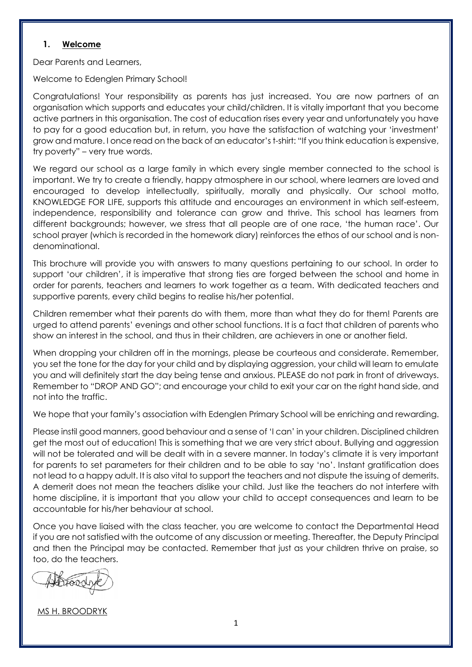# **1. Welcome**

Dear Parents and Learners,

Welcome to Edenglen Primary School!

Congratulations! Your responsibility as parents has just increased. You are now partners of an organisation which supports and educates your child/children. It is vitally important that you become active partners in this organisation. The cost of education rises every year and unfortunately you have to pay for a good education but, in return, you have the satisfaction of watching your 'investment' grow and mature. I once read on the back of an educator's t-shirt: "If you think education is expensive, try poverty" – very true words.

We regard our school as a large family in which every single member connected to the school is important. We try to create a friendly, happy atmosphere in our school, where learners are loved and encouraged to develop intellectually, spiritually, morally and physically. Our school motto, KNOWLEDGE FOR LIFE, supports this attitude and encourages an environment in which self-esteem, independence, responsibility and tolerance can grow and thrive. This school has learners from different backgrounds; however, we stress that all people are of one race, 'the human race'. Our school prayer (which is recorded in the homework diary) reinforces the ethos of our school and is nondenominational.

This brochure will provide you with answers to many questions pertaining to our school. In order to support 'our children', it is imperative that strong ties are forged between the school and home in order for parents, teachers and learners to work together as a team. With dedicated teachers and supportive parents, every child begins to realise his/her potential.

Children remember what their parents do with them, more than what they do for them! Parents are urged to attend parents' evenings and other school functions. It is a fact that children of parents who show an interest in the school, and thus in their children, are achievers in one or another field.

When dropping your children off in the mornings, please be courteous and considerate. Remember, you set the tone for the day for your child and by displaying aggression, your child will learn to emulate you and will definitely start the day being tense and anxious. PLEASE do not park in front of driveways. Remember to "DROP AND GO"; and encourage your child to exit your car on the right hand side, and not into the traffic.

We hope that your family's association with Edenglen Primary School will be enriching and rewarding.

Please instil good manners, good behaviour and a sense of 'I can' in your children. Disciplined children get the most out of education! This is something that we are very strict about. Bullying and aggression will not be tolerated and will be dealt with in a severe manner. In today's climate it is very important for parents to set parameters for their children and to be able to say 'no'. Instant gratification does not lead to a happy adult. It is also vital to support the teachers and not dispute the issuing of demerits. A demerit does not mean the teachers dislike your child. Just like the teachers do not interfere with home discipline, it is important that you allow your child to accept consequences and learn to be accountable for his/her behaviour at school.

Once you have liaised with the class teacher, you are welcome to contact the Departmental Head if you are not satisfied with the outcome of any discussion or meeting. Thereafter, the Deputy Principal and then the Principal may be contacted. Remember that just as your children thrive on praise, so too, do the teachers.

MS H. BROODRYK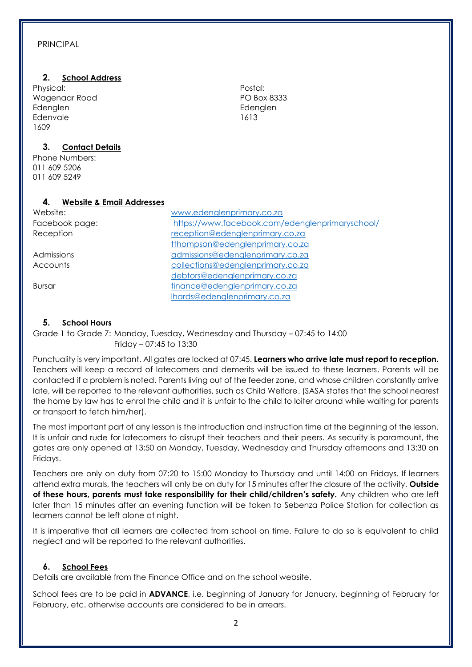#### PRINCIPAL

#### **2. School Address**

Physical: Wagenaar Road Edenglen Edenvale 1609

# **3. Contact Details**

Phone Numbers: 011 609 5206 011 609 5249

### **4. Website & Email Addresses**

Website: [www.edenglenprimary.co.za](http://www.edenglenprimary.co.za/) Facebook page: **Reception** 

### **5. School Hours**

Grade 1 to Grade 7: Monday, Tuesday, Wednesday and Thursday – 07:45 to 14:00 Friday – 07:45 to 13:30

Punctuality is very important. All gates are locked at 07:45. **Learners who arrive late must report to reception.**  Teachers will keep a record of latecomers and demerits will be issued to these learners. Parents will be contacted if a problem is noted. Parents living out of the feeder zone, and whose children constantly arrive late, will be reported to the relevant authorities, such as Child Welfare. (SASA states that the school nearest the home by law has to enrol the child and it is unfair to the child to loiter around while waiting for parents or transport to fetch him/her).

The most important part of any lesson is the introduction and instruction time at the beginning of the lesson. It is unfair and rude for latecomers to disrupt their teachers and their peers. As security is paramount, the gates are only opened at 13:50 on Monday, Tuesday, Wednesday and Thursday afternoons and 13:30 on Fridays.

Teachers are only on duty from 07:20 to 15:00 Monday to Thursday and until 14:00 on Fridays. If learners attend extra murals, the teachers will only be on duty for 15 minutes after the closure of the activity. **Outside of these hours, parents must take responsibility for their child/children's safety.** Any children who are left later than 15 minutes after an evening function will be taken to Sebenza Police Station for collection as learners cannot be left alone at night.

It is imperative that all learners are collected from school on time. Failure to do so is equivalent to child neglect and will be reported to the relevant authorities.

#### **6. School Fees**

Details are available from the Finance Office and on the school website.

School fees are to be paid in **ADVANCE**, i.e. beginning of January for January, beginning of February for February, etc. otherwise accounts are considered to be in arrears.

Postal: PO Box 8333 Edenglen 1613

| Facebook page: | https://www.facebook.com/edenglenprimaryschool/ |
|----------------|-------------------------------------------------|
| Reception      | reception@edenglenprimary.co.za                 |
|                | tthompson@edenglenprimary.co.za                 |
| Admissions     | admissions@edenglenprimary.co.za                |
| Accounts       | collections@edenglenprimary.co.za               |
|                | debtors@edenglenprimary.co.za                   |
| Bursar         | finance@edenglenprimary.co.za                   |
|                | lhards@edenglenprimary.co.za                    |
|                |                                                 |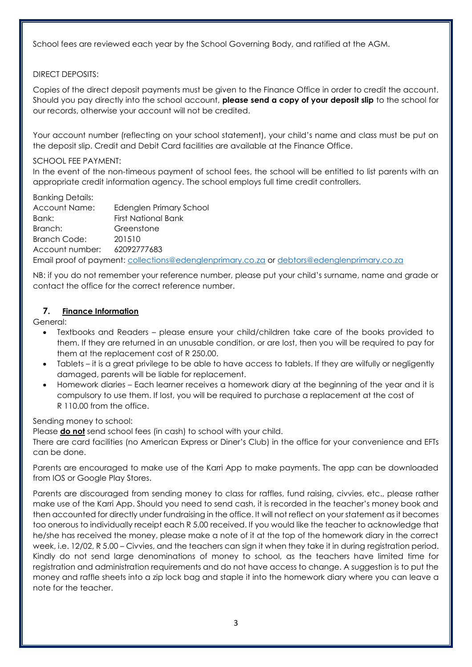School fees are reviewed each year by the School Governing Body, and ratified at the AGM.

# DIRECT DEPOSITS:

Copies of the direct deposit payments must be given to the Finance Office in order to credit the account. Should you pay directly into the school account, **please send a copy of your deposit slip** to the school for our records, otherwise your account will not be credited.

Your account number (reflecting on your school statement), your child's name and class must be put on the deposit slip. Credit and Debit Card facilities are available at the Finance Office.

# SCHOOL FEE PAYMENT:

In the event of the non-timeous payment of school fees, the school will be entitled to list parents with an appropriate credit information agency. The school employs full time credit controllers.

Banking Details:

| Account Name:       | Edenglen Primary School                                                                    |
|---------------------|--------------------------------------------------------------------------------------------|
| Bank:               | First National Bank                                                                        |
| Branch:             | Greenstone                                                                                 |
| <b>Branch Code:</b> | 201510                                                                                     |
| Account number:     | 62092777683                                                                                |
|                     | Email proof of payment: collections@edenglenprimary.co.za or debtors@edenglenprimary.co.za |

NB: if you do not remember your reference number, please put your child's surname, name and grade or contact the office for the correct reference number.

# **7. Finance Information**

General:

- Textbooks and Readers please ensure your child/children take care of the books provided to them. If they are returned in an unusable condition, or are lost, then you will be required to pay for them at the replacement cost of R 250.00.
- Tablets it is a great privilege to be able to have access to tablets. If they are wilfully or negligently damaged, parents will be liable for replacement.
- Homework diaries Each learner receives a homework diary at the beginning of the year and it is compulsory to use them. If lost, you will be required to purchase a replacement at the cost of R 110.00 from the office.

# Sending money to school:

Please **do not** send school fees (in cash) to school with your child.

There are card facilities (no American Express or Diner's Club) in the office for your convenience and EFTs can be done.

Parents are encouraged to make use of the Karri App to make payments. The app can be downloaded from IOS or Google Play Stores.

Parents are discouraged from sending money to class for raffles, fund raising, civvies, etc., please rather make use of the Karri App. Should you need to send cash, it is recorded in the teacher's money book and then accounted for directly under fundraising in the office. It will not reflect on your statement as it becomes too onerous to individually receipt each R 5.00 received. If you would like the teacher to acknowledge that he/she has received the money, please make a note of it at the top of the homework diary in the correct week, i.e. 12/02, R 5.00 – Civvies, and the teachers can sign it when they take it in during registration period. Kindly do not send large denominations of money to school, as the teachers have limited time for registration and administration requirements and do not have access to change. A suggestion is to put the money and raffle sheets into a zip lock bag and staple it into the homework diary where you can leave a note for the teacher.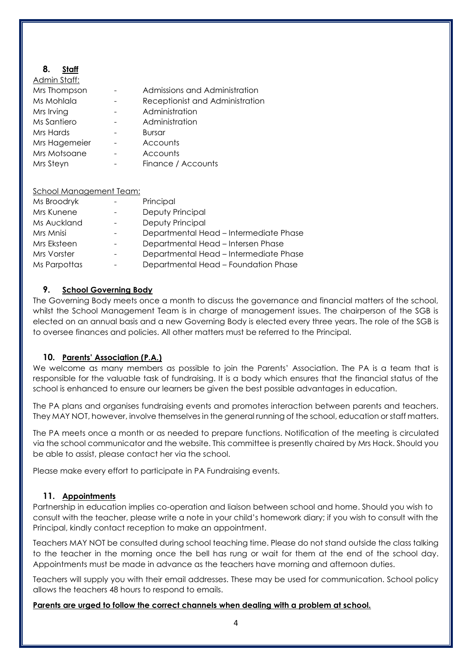# **8. Staff**

| Admin Staff:  |                                 |
|---------------|---------------------------------|
| Mrs Thompson  | Admissions and Administration   |
| Ms Mohlala    | Receptionist and Administration |
| Mrs Irving    | Administration                  |
| Ms Santiero   | Administration                  |
| Mrs Hards     | Bursar                          |
| Mrs Hagemeier | Accounts                        |
| Mrs Motsoane  | Accounts                        |
| Mrs Steyn     | Finance / Accounts              |
|               |                                 |

| <b>School Management Team:</b> |                                        |
|--------------------------------|----------------------------------------|
| Ms Broodryk                    | Principal                              |
| Mrs Kunene                     | Deputy Principal                       |
| Ms Auckland                    | Deputy Principal                       |
| Mrs Mnisi                      | Departmental Head - Intermediate Phase |
| Mrs Eksteen                    | Departmental Head - Intersen Phase     |
| Mrs Vorster                    | Departmental Head - Intermediate Phase |
| Ms Parpottas                   | Departmental Head - Foundation Phase   |

### **9. School Governing Body**

The Governing Body meets once a month to discuss the governance and financial matters of the school, whilst the School Management Team is in charge of management issues. The chairperson of the SGB is elected on an annual basis and a new Governing Body is elected every three years. The role of the SGB is to oversee finances and policies. All other matters must be referred to the Principal.

#### **10. Parents' Association (P.A.)**

We welcome as many members as possible to join the Parents' Association. The PA is a team that is responsible for the valuable task of fundraising. It is a body which ensures that the financial status of the school is enhanced to ensure our learners be given the best possible advantages in education.

The PA plans and organises fundraising events and promotes interaction between parents and teachers. They MAY NOT, however, involve themselves in the general running of the school, education or staff matters.

The PA meets once a month or as needed to prepare functions. Notification of the meeting is circulated via the school communicator and the website. This committee is presently chaired by Mrs Hack. Should you be able to assist, please contact her via the school.

Please make every effort to participate in PA Fundraising events.

#### **11. Appointments**

Partnership in education implies co-operation and liaison between school and home. Should you wish to consult with the teacher, please write a note in your child's homework diary; if you wish to consult with the Principal, kindly contact reception to make an appointment.

Teachers MAY NOT be consulted during school teaching time. Please do not stand outside the class talking to the teacher in the morning once the bell has rung or wait for them at the end of the school day. Appointments must be made in advance as the teachers have morning and afternoon duties.

Teachers will supply you with their email addresses. These may be used for communication. School policy allows the teachers 48 hours to respond to emails.

**Parents are urged to follow the correct channels when dealing with a problem at school.**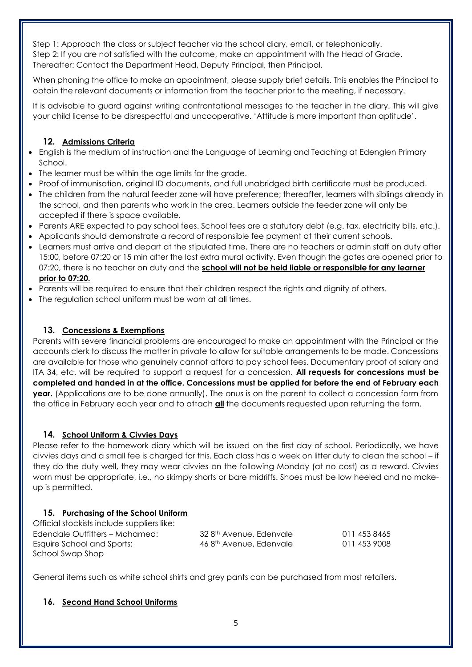Step 1: Approach the class or subject teacher via the school diary, email, or telephonically. Step 2: If you are not satisfied with the outcome, make an appointment with the Head of Grade. Thereafter: Contact the Department Head, Deputy Principal, then Principal.

When phoning the office to make an appointment, please supply brief details. This enables the Principal to obtain the relevant documents or information from the teacher prior to the meeting, if necessary.

It is advisable to guard against writing confrontational messages to the teacher in the diary. This will give your child license to be disrespectful and uncooperative. 'Attitude is more important than aptitude'.

# **12. Admissions Criteria**

- English is the medium of instruction and the Language of Learning and Teaching at Edenglen Primary School.
- The learner must be within the age limits for the grade.
- Proof of immunisation, original ID documents, and full unabridged birth certificate must be produced.
- The children from the natural feeder zone will have preference; thereafter, learners with siblings already in the school, and then parents who work in the area. Learners outside the feeder zone will only be accepted if there is space available.
- Parents ARE expected to pay school fees. School fees are a statutory debt (e.g. tax, electricity bills, etc.).
- Applicants should demonstrate a record of responsible fee payment at their current schools.
- Learners must arrive and depart at the stipulated time. There are no teachers or admin staff on duty after 15:00, before 07:20 or 15 min after the last extra mural activity. Even though the gates are opened prior to 07:20, there is no teacher on duty and the **school will not be held liable or responsible for any learner prior to 07:20.**
- Parents will be required to ensure that their children respect the rights and dignity of others.
- The regulation school uniform must be worn at all times.

# **13. Concessions & Exemptions**

Parents with severe financial problems are encouraged to make an appointment with the Principal or the accounts clerk to discuss the matter in private to allow for suitable arrangements to be made. Concessions are available for those who genuinely cannot afford to pay school fees. Documentary proof of salary and ITA 34, etc. will be required to support a request for a concession. **All requests for concessions must be completed and handed in at the office. Concessions must be applied for before the end of February each year.** (Applications are to be done annually). The onus is on the parent to collect a concession form from the office in February each year and to attach **all** the documents requested upon returning the form.

# **14. School Uniform & Civvies Days**

Please refer to the homework diary which will be issued on the first day of school. Periodically, we have civvies days and a small fee is charged for this. Each class has a week on litter duty to clean the school – if they do the duty well, they may wear civvies on the following Monday (at no cost) as a reward. Civvies worn must be appropriate, i.e., no skimpy shorts or bare midriffs. Shoes must be low heeled and no makeup is permitted.

# **15. Purchasing of the School Uniform**

Official stockists include suppliers like: Edendale Outfitters – Mohamed: 32 8<sup>th</sup> Avenue, Edenvale 011 453 8465 Esquire School and Sports:  $468$ <sup>th</sup> Avenue, Edenvale 011 453 9008 School Swap Shop

General items such as white school shirts and grey pants can be purchased from most retailers.

# **16. Second Hand School Uniforms**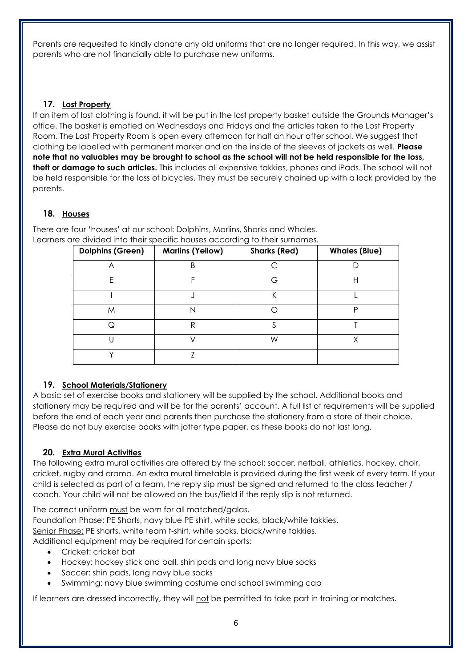Parents are requested to kindly donate any old uniforms that are no longer required. In this way, we assist parents who are not financially able to purchase new uniforms.

# **17. Lost Property**

If an item of lost clothing is found, it will be put in the lost property basket outside the Grounds Manager's office. The basket is emptied on Wednesdays and Fridays and the articles taken to the Lost Property Room. The Lost Property Room is open every afternoon for half an hour after school. We suggest that clothing be labelled with permanent marker and on the inside of the sleeves of jackets as well. **Please note that no valuables may be brought to school as the school will not be held responsible for the loss, theft or damage to such articles.** This includes all expensive takkies, phones and iPads. The school will not be held responsible for the loss of bicycles. They must be securely chained up with a lock provided by the parents.

# **18. Houses**

**Dolphins (Green) Marlins (Yellow) Sharks (Red) Whales (Blue)** A B C D E | F | G | H I J K L M N O P Q R S T U V W X Y Z

There are four 'houses' at our school: Dolphins, Marlins, Sharks and Whales. Learners are divided into their specific houses according to their surnames.

# **19. School Materials/Stationery**

A basic set of exercise books and stationery will be supplied by the school. Additional books and stationery may be required and will be for the parents' account. A full list of requirements will be supplied before the end of each year and parents then purchase the stationery from a store of their choice. Please do not buy exercise books with jotter type paper, as these books do not last long.

# **20. Extra Mural Activities**

The following extra mural activities are offered by the school: soccer, netball, athletics, hockey, choir, cricket, rugby and drama. An extra mural timetable is provided during the first week of every term. If your child is selected as part of a team, the reply slip must be signed and returned to the class teacher / coach. Your child will not be allowed on the bus/field if the reply slip is not returned.

The correct uniform must be worn for all matched/galas. Foundation Phase: PE Shorts, navy blue PE shirt, white socks, black/white takkies. Senior Phase: PE shorts, white team t-shirt, white socks, black/white takkies. Additional equipment may be required for certain sports:

- Cricket: cricket bat
- Hockey: hockey stick and ball, shin pads and long navy blue socks
- Soccer: shin pads, long navy blue socks
- Swimming: navy blue swimming costume and school swimming cap

If learners are dressed incorrectly, they will not be permitted to take part in training or matches.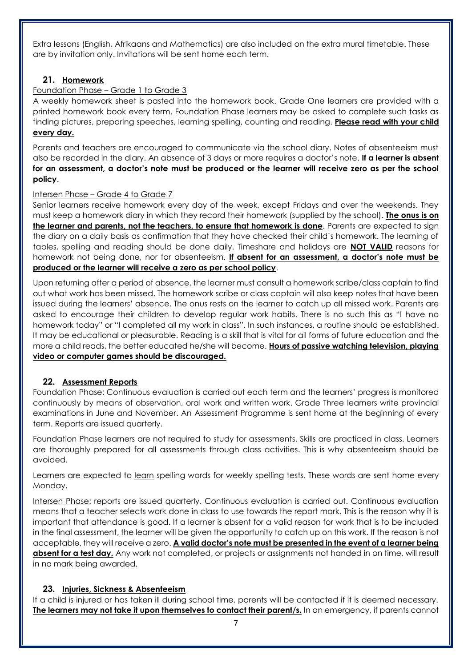Extra lessons (English, Afrikaans and Mathematics) are also included on the extra mural timetable. These are by invitation only. Invitations will be sent home each term.

# **21. Homework**

# Foundation Phase – Grade 1 to Grade 3

A weekly homework sheet is pasted into the homework book. Grade One learners are provided with a printed homework book every term. Foundation Phase learners may be asked to complete such tasks as finding pictures, preparing speeches, learning spelling, counting and reading. **Please read with your child every day.** 

Parents and teachers are encouraged to communicate via the school diary. Notes of absenteeism must also be recorded in the diary. An absence of 3 days or more requires a doctor's note. **If a learner is absent for an assessment, a doctor's note must be produced or the learner will receive zero as per the school policy**.

### Intersen Phase - Grade 4 to Grade 7

Senior learners receive homework every day of the week, except Fridays and over the weekends. They must keep a homework diary in which they record their homework (supplied by the school). **The onus is on the learner and parents, not the teachers, to ensure that homework is done**. Parents are expected to sign the diary on a daily basis as confirmation that they have checked their child's homework. The learning of tables, spelling and reading should be done daily. Timeshare and holidays are **NOT VALID** reasons for homework not being done, nor for absenteeism. **If absent for an assessment, a doctor's note must be produced or the learner will receive a zero as per school policy**.

Upon returning after a period of absence, the learner must consult a homework scribe/class captain to find out what work has been missed. The homework scribe or class captain will also keep notes that have been issued during the learners' absence. The onus rests on the learner to catch up all missed work. Parents are asked to encourage their children to develop regular work habits. There is no such this as "I have no homework today" or "I completed all my work in class". In such instances, a routine should be established. It may be educational or pleasurable. Reading is a skill that is vital for all forms of future education and the more a child reads, the better educated he/she will become. **Hours of passive watching television, playing video or computer games should be discouraged.** 

# **22. Assessment Reports**

Foundation Phase: Continuous evaluation is carried out each term and the learners' progress is monitored continuously by means of observation, oral work and written work. Grade Three learners write provincial examinations in June and November. An Assessment Programme is sent home at the beginning of every term. Reports are issued quarterly.

Foundation Phase learners are not required to study for assessments. Skills are practiced in class. Learners are thoroughly prepared for all assessments through class activities. This is why absenteeism should be avoided.

Learners are expected to learn spelling words for weekly spelling tests. These words are sent home every Monday.

Intersen Phase: reports are issued quarterly. Continuous evaluation is carried out. Continuous evaluation means that a teacher selects work done in class to use towards the report mark. This is the reason why it is important that attendance is good. If a learner is absent for a valid reason for work that is to be included in the final assessment, the learner will be given the opportunity to catch up on this work. If the reason is not acceptable, they will receive a zero. **A valid doctor's note must be presented in the event of a learner being absent for a test day.** Any work not completed, or projects or assignments not handed in on time, will result in no mark being awarded.

# **23. Injuries, Sickness & Absenteeism**

If a child is injured or has taken ill during school time, parents will be contacted if it is deemed necessary. **The learners may not take it upon themselves to contact their parent/s.** In an emergency, if parents cannot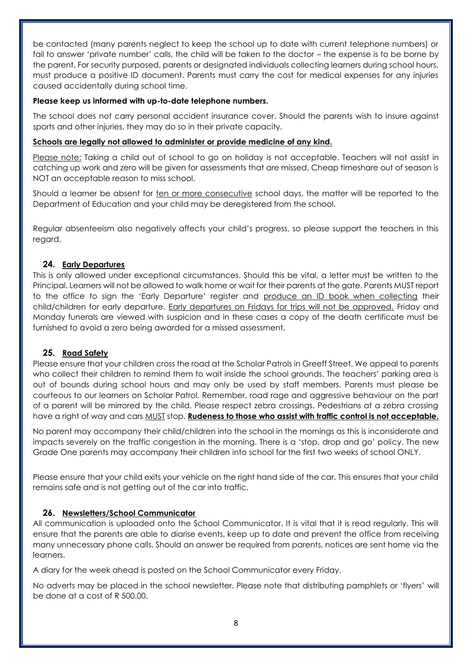be contacted (many parents neglect to keep the school up to date with current telephone numbers) or fail to answer 'private number' calls, the child will be taken to the doctor – the expense is to be borne by the parent. For security purposed, parents or designated individuals collecting learners during school hours, must produce a positive ID document. Parents must carry the cost for medical expenses for any injuries caused accidentally during school time.

### **Please keep us informed with up-to-date telephone numbers.**

The school does not carry personal accident insurance cover. Should the parents wish to insure against sports and other injuries, they may do so in their private capacity.

# **Schools are legally not allowed to administer or provide medicine of any kind.**

Please note: Taking a child out of school to go on holiday is not acceptable. Teachers will not assist in catching up work and zero will be given for assessments that are missed. Cheap timeshare out of season is NOT an acceptable reason to miss school.

Should a learner be absent for ten or more consecutive school days, the matter will be reported to the Department of Education and your child may be deregistered from the school.

Regular absenteeism also negatively affects your child's progress, so please support the teachers in this regard.

# **24. Early Departures**

This is only allowed under exceptional circumstances. Should this be vital, a letter must be written to the Principal. Learners will not be allowed to walk home or wait for their parents at the gate. Parents MUST report to the office to sign the 'Early Departure' register and produce an ID book when collecting their child/children for early departure. Early departures on Fridays for trips will not be approved. Friday and Monday funerals are viewed with suspicion and in these cases a copy of the death certificate must be furnished to avoid a zero being awarded for a missed assessment.

# **25. Road Safety**

Please ensure that your children cross the road at the Scholar Patrols in Greeff Street. We appeal to parents who collect their children to remind them to wait inside the school grounds. The teachers' parking area is out of bounds during school hours and may only be used by staff members. Parents must please be courteous to our learners on Scholar Patrol. Remember, road rage and aggressive behaviour on the part of a parent will be mirrored by the child. Please respect zebra crossings. Pedestrians at a zebra crossing have a right of way and cars MUST stop. **Rudeness to those who assist with traffic control is not acceptable.**

No parent may accompany their child/children into the school in the mornings as this is inconsiderate and impacts severely on the traffic congestion in the morning. There is a 'stop, drop and go' policy. The new Grade One parents may accompany their children into school for the first two weeks of school ONLY.

Please ensure that your child exits your vehicle on the right hand side of the car. This ensures that your child remains safe and is not getting out of the car into traffic.

# **26. Newsletters/School Communicator**

All communication is uploaded onto the School Communicator. It is vital that it is read regularly. This will ensure that the parents are able to diarise events, keep up to date and prevent the office from receiving many unnecessary phone calls. Should an answer be required from parents, notices are sent home via the learners.

A diary for the week ahead is posted on the School Communicator every Friday.

No adverts may be placed in the school newsletter. Please note that distributing pamphlets or 'flyers' will be done at a cost of R 500.00.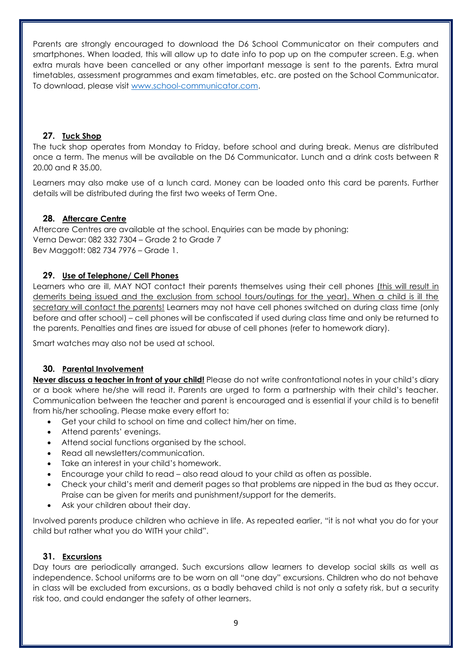Parents are strongly encouraged to download the D6 School Communicator on their computers and smartphones. When loaded, this will allow up to date info to pop up on the computer screen. E.g. when extra murals have been cancelled or any other important message is sent to the parents. Extra mural timetables, assessment programmes and exam timetables, etc. are posted on the School Communicator. To download, please visit [www.school-communicator.com.](http://www.school-communicator.com/)

# **27. Tuck Shop**

The tuck shop operates from Monday to Friday, before school and during break. Menus are distributed once a term. The menus will be available on the D6 Communicator. Lunch and a drink costs between R 20.00 and R 35.00.

Learners may also make use of a lunch card. Money can be loaded onto this card be parents. Further details will be distributed during the first two weeks of Term One.

# **28. Aftercare Centre**

Aftercare Centres are available at the school. Enquiries can be made by phoning: Verna Dewar: 082 332 7304 – Grade 2 to Grade 7 Bev Maggott: 082 734 7976 – Grade 1.

### **29. Use of Telephone/ Cell Phones**

Learners who are ill, MAY NOT contact their parents themselves using their cell phones (this will result in demerits being issued and the exclusion from school tours/outings for the year). When a child is ill the secretary will contact the parents! Learners may not have cell phones switched on during class time (only before and after school) – cell phones will be confiscated if used during class time and only be returned to the parents. Penalties and fines are issued for abuse of cell phones (refer to homework diary).

Smart watches may also not be used at school.

# **30. Parental Involvement**

**Never discuss a teacher in front of your child!** Please do not write confrontational notes in your child's diary or a book where he/she will read it. Parents are urged to form a partnership with their child's teacher. Communication between the teacher and parent is encouraged and is essential if your child is to benefit from his/her schooling. Please make every effort to:

- Get your child to school on time and collect him/her on time.
- Attend parents' evenings.
- Attend social functions organised by the school.
- Read all newsletters/communication.
- Take an interest in your child's homework.
- Encourage your child to read also read aloud to your child as often as possible.
- Check your child's merit and demerit pages so that problems are nipped in the bud as they occur. Praise can be given for merits and punishment/support for the demerits.
- Ask your children about their day.

Involved parents produce children who achieve in life. As repeated earlier, "it is not what you do for your child but rather what you do WITH your child".

#### **31. Excursions**

Day tours are periodically arranged. Such excursions allow learners to develop social skills as well as independence. School uniforms are to be worn on all "one day" excursions. Children who do not behave in class will be excluded from excursions, as a badly behaved child is not only a safety risk, but a security risk too, and could endanger the safety of other learners.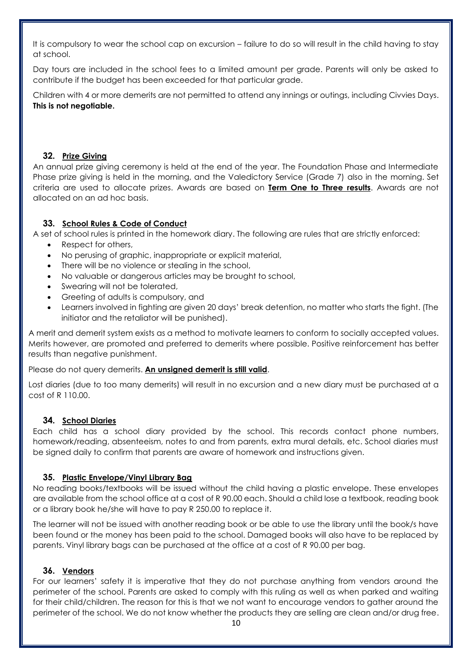It is compulsory to wear the school cap on excursion – failure to do so will result in the child having to stay at school.

Day tours are included in the school fees to a limited amount per grade. Parents will only be asked to contribute if the budget has been exceeded for that particular grade.

Children with 4 or more demerits are not permitted to attend any innings or outings, including Civvies Days. **This is not negotiable.**

### **32. Prize Giving**

An annual prize giving ceremony is held at the end of the year. The Foundation Phase and Intermediate Phase prize giving is held in the morning, and the Valedictory Service (Grade 7) also in the morning. Set criteria are used to allocate prizes. Awards are based on **Term One to Three results**. Awards are not allocated on an ad hoc basis.

# **33. School Rules & Code of Conduct**

A set of school rules is printed in the homework diary. The following are rules that are strictly enforced:

- Respect for others,
- No perusing of graphic, inappropriate or explicit material,
- There will be no violence or stealing in the school,
- No valuable or dangerous articles may be brought to school,
- Swearing will not be tolerated,
- Greeting of adults is compulsory, and
- Learners involved in fighting are given 20 days' break detention, no matter who starts the fight. (The initiator and the retaliator will be punished).

A merit and demerit system exists as a method to motivate learners to conform to socially accepted values. Merits however, are promoted and preferred to demerits where possible. Positive reinforcement has better results than negative punishment.

Please do not query demerits. **An unsigned demerit is still valid**.

Lost diaries (due to too many demerits) will result in no excursion and a new diary must be purchased at a cost of R 110.00.

# **34. School Diaries**

Each child has a school diary provided by the school. This records contact phone numbers, homework/reading, absenteeism, notes to and from parents, extra mural details, etc. School diaries must be signed daily to confirm that parents are aware of homework and instructions given.

# **35. Plastic Envelope/Vinyl Library Bag**

No reading books/textbooks will be issued without the child having a plastic envelope. These envelopes are available from the school office at a cost of R 90.00 each. Should a child lose a textbook, reading book or a library book he/she will have to pay R 250.00 to replace it.

The learner will not be issued with another reading book or be able to use the library until the book/s have been found or the money has been paid to the school. Damaged books will also have to be replaced by parents. Vinyl library bags can be purchased at the office at a cost of R 90.00 per bag.

# **36. Vendors**

For our learners' safety it is imperative that they do not purchase anything from vendors around the perimeter of the school. Parents are asked to comply with this ruling as well as when parked and waiting for their child/children. The reason for this is that we not want to encourage vendors to gather around the perimeter of the school. We do not know whether the products they are selling are clean and/or drug free.